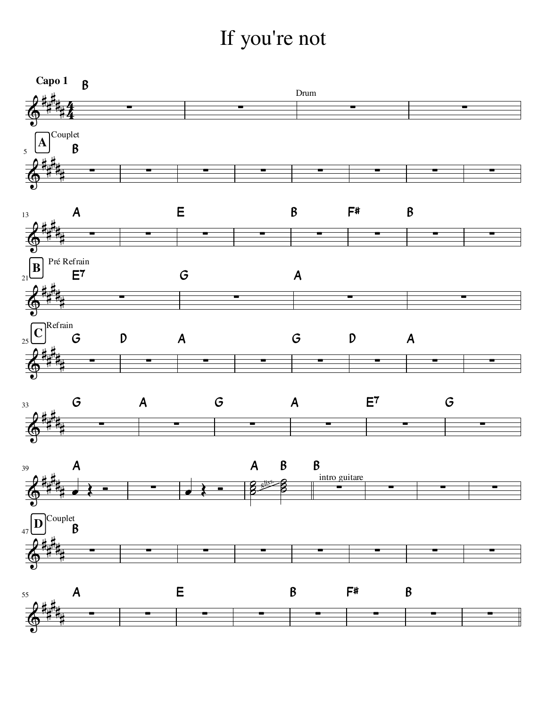## If you're not